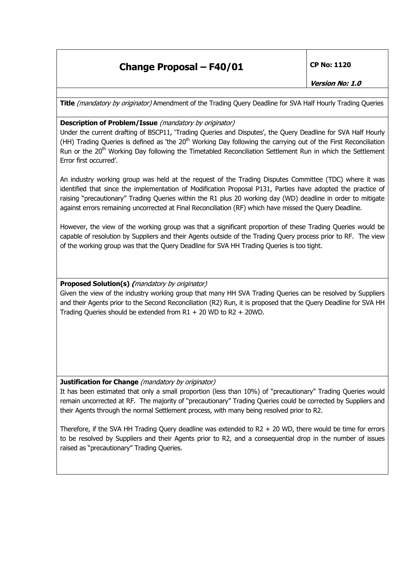# **Change Proposal – F40/01 CP No: 1120**

**Version No: 1.0** 

**Title** (mandatory by originator) Amendment of the Trading Query Deadline for SVA Half Hourly Trading Queries

### **Description of Problem/Issue** (mandatory by originator)

Under the current drafting of BSCP11, 'Trading Queries and Disputes', the Query Deadline for SVA Half Hourly (HH) Trading Queries is defined as 'the  $20<sup>th</sup>$  Working Day following the carrying out of the First Reconciliation Run or the 20<sup>th</sup> Working Day following the Timetabled Reconciliation Settlement Run in which the Settlement Error first occurred'.

An industry working group was held at the request of the Trading Disputes Committee (TDC) where it was identified that since the implementation of Modification Proposal P131, Parties have adopted the practice of raising "precautionary" Trading Queries within the R1 plus 20 working day (WD) deadline in order to mitigate against errors remaining uncorrected at Final Reconciliation (RF) which have missed the Query Deadline.

However, the view of the working group was that a significant proportion of these Trading Queries would be capable of resolution by Suppliers and their Agents outside of the Trading Query process prior to RF. The view of the working group was that the Query Deadline for SVA HH Trading Queries is too tight.

#### **Proposed Solution(s) (**mandatory by originator)

Given the view of the industry working group that many HH SVA Trading Queries can be resolved by Suppliers and their Agents prior to the Second Reconciliation (R2) Run, it is proposed that the Query Deadline for SVA HH Trading Queries should be extended from R1 + 20 WD to R2 + 20WD.

#### **Justification for Change** (mandatory by originator)

It has been estimated that only a small proportion (less than 10%) of "precautionary" Trading Queries would remain uncorrected at RF. The majority of "precautionary" Trading Queries could be corrected by Suppliers and their Agents through the normal Settlement process, with many being resolved prior to R2.

Therefore, if the SVA HH Trading Query deadline was extended to R2 + 20 WD, there would be time for errors to be resolved by Suppliers and their Agents prior to R2, and a consequential drop in the number of issues raised as "precautionary" Trading Queries.